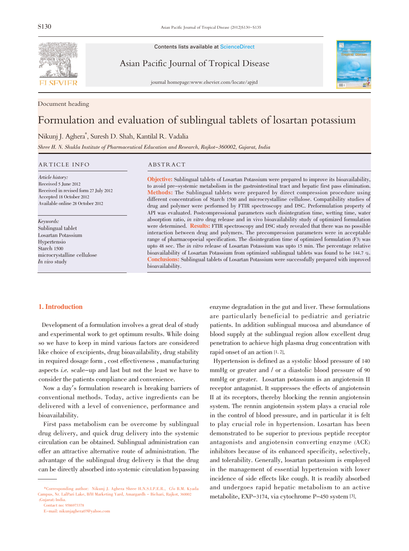

Contents lists available at ScienceDirect

Asian Pacific Journal of Tropical Disease



journal homepage:www.elsevier.com/locate/apjtd

Document heading

# Formulation and evaluation of sublingual tablets of losartan potassium

# Nikunj J. Aghera\* , Suresh D. Shah, Kantilal R. Vadalia

Shree H. N. Shukla Institute of Pharmaceutical Education and Research, Rajkot-360002, Gujarat, India

## ARTICLE INFO ABSTRACT

Article history: Received 5 June 2012 Received in revised form 27 July 2012 Accepted 18 October 2012 Available online 28 October 2012

Keywords: Sublingual tablet Losartan Potassium Hypertensio Starch 1500 microcrystalline cellulose In vivo study

Objective: Sublingual tablets of Losartan Potassium were prepared to improve its bioavailability, to avoid pre-systemic metabolism in the gastrointestinal tract and hepatic first pass elimination. Methods: The Sublingual tablets were prepared by direct compression procedure using different concentration of Starch 1500 and microcrystalline cellulose. Compatibility studies of drug and polymer were performed by FTIR spectroscopy and DSC. Preformulation property of API was evaluated. Postcompressional parameters such disintegration time, wetting time, water absorption ratio, in vitro drug release and in vivo bioavailability study of optimized formulation were determined. **Results:** FTIR spectroscopy and DSC study revealed that there was no possible interaction between drug and polymers. The precompression parameters were in acceptable range of pharmacopoeial specification. The disintegration time of optimized formulation (F3) was upto <sup>48</sup> sec. The in vitro release of Losartan Potassium was upto <sup>15</sup> min. The percentage relative bioavailability of Losartan Potassium from optimized sublingual tablets was found to be 144.7 %. Conclusions: Sublingual tablets of Losartan Potassium were successfully prepared with improved bioavailability.

# 1. Introduction

Development of a formulation involves a great deal of study and experimental work to get optimum results. While doing so we have to keep in mind various factors are considered like choice of excipients, drug bioavailability, drug stability in required dosage form , cost effectiveness , manufacturing aspects i.e. scale-up and last but not the least we have to consider the patients compliance and convenience.

Now a day's formulation research is breaking barriers of conventional methods. Today, active ingredients can be delivered with a level of convenience, performance and bioavailability.

First pass metabolism can be overcome by sublingual drug delivery, and quick drug delivery into the systemic circulation can be obtained. Sublingual administration can offer an attractive alternative route of administration. The advantage of the sublingual drug delivery is that the drug can be directly absorbed into systemic circulation bypassing

enzyme degradation in the gut and liver. These formulations are particularly beneficial to pediatric and geriatric patients. In addition sublingual mucosa and abundance of blood supply at the sublingual region allow excellent drug penetration to achieve high plasma drug concentration with rapid onset of an action [1, 2].

Hypertension is defined as a systolic blood pressure of 140 mmHg or greater and / or a diastolic blood pressure of 90 mmHg or greater. Losartan potassium is an angiotensin II receptor antagonist. It suppresses the effects of angiotensin II at its receptors, thereby blocking the rennin angiotensin system. The rennin angiotensin system plays a crucial role in the control of blood pressure, and in particular it is felt to play crucial role in hypertension. Losartan has been demonstrated to be superior to previous peptide receptor antagonists and angiotensin converting enzyme (ACE) inhibitors because of its enhanced specificity, selectively, and tolerability. Generally, losartan potassium is employed in the management of essential hypertension with lower incidence of side effects like cough. It is readily absorbed and undergoes rapid hepatic metabolism to an active metabolite, EXP-3174, via cytochrome P-450 system [3].

<sup>\*</sup>Corresponding author: Nikunj J. Aghera Shree H.N.S.I.P.E.R., C/o B.M. Kyada Campus, Nr. LalPari Lake, B/H Marketing Yard, Amargardh - Bichari, Rajkot, 360002 (Gujarat) India.

Contact no: 9586973378

E-mail: nikunjaghera07@yahoo.com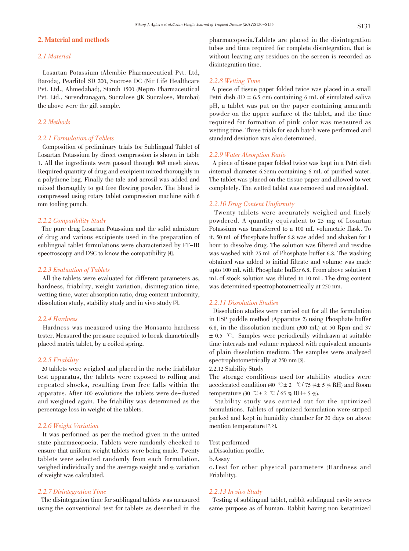# 2. Material and methods

# 2.1 Material

Losartan Potassium (Alembic Pharmaceutical Pvt. Ltd, Baroda), Pearlitol SD 200, Sucrose DC (Nir Life Healthcare Pvt. Ltd., Ahmedabad), Starch 1500 (Mepro Pharmaceutical Pvt. Ltd., Surendranagar), Sucralose (JK Sucralose, Mumbai) the above were the gift sample.

# 2.2 Methods

# 2.2.1 Formulation of Tablets

Composition of preliminary trials for Sublingual Tablet of Losartan Potassium by direct compression is shown in table 1. All the ingredients were passed through 80# mesh sieve. Required quantity of drug and excipient mixed thoroughly in a polythene bag. Finally the talc and aerosil was added and mixed thoroughly to get free flowing powder. The blend is compressed using rotary tablet compression machine with 6 mm tooling punch.

# 2.2.2 Compatibility Study

The pure drug Losartan Potassium and the solid admixture of drug and various excipients used in the preparation of sublingual tablet formulations were characterized by FT-IR spectroscopy and DSC to know the compatibility [4].

## 2.2.3 Evaluation of Tablets

All the tablets were evaluated for different parameters as, hardness, friability, weight variation, disintegration time, wetting time, water absorption ratio, drug content uniformity, dissolution study, stability study and in vivo study [5].

# 2.2.4 Hardness

Hardness was measured using the Monsanto hardness tester. Measured the pressure required to break diametrically placed matrix tablet, by a coiled spring.

# 2.2.5 Friability

20 tablets were weighed and placed in the roche friabilator test apparatus, the tablets were exposed to rolling and repeated shocks, resulting from free falls within the apparatus. After 100 evolutions the tablets were de-dusted and weighted again. The friability was determined as the percentage loss in weight of the tablets.

# 2.2.6 Weight Variation

It was performed as per the method given in the united state pharmacopoeia. Tablets were randomly checked to ensure that uniform weight tablets were being made. Twenty tablets were selected randomly from each formulation, weighed individually and the average weight and % variation of weight was calculated.

# 2.2.7 Disintegration Time

The disintegration time for sublingual tablets was measured using the conventional test for tablets as described in the

pharmacopoeia.Tablets are placed in the disintegration tubes and time required for complete disintegration, that is without leaving any residues on the screen is recorded as disintegration time.

# 2.2.8 Wetting Time

A piece of tissue paper folded twice was placed in a small Petri dish  $(ID = 6.5 \text{ cm})$  containing 6 mL of simulated saliva pH, a tablet was put on the paper containing amaranth powder on the upper surface of the tablet, and the time required for formation of pink color was measured as wetting time. Three trials for each batch were performed and standard deviation was also determined.

# 2.2.9 Water Absorption Ratio

A piece of tissue paper folded twice was kept in a Petri dish (internal diameter 6.5cm) containing 6 mL of purified water. The tablet was placed on the tissue paper and allowed to wet completely. The wetted tablet was removed and reweighted.

# 2.2.10 Drug Content Uniformity

Twenty tablets were accurately weighed and finely powdered. A quantity equivalent to 25 mg of Losartan Potassium was transferred to a 100 mL volumetric flask. To it, 50 mL of Phosphate buffer 6.8 was added and shaken for 1 hour to dissolve drug. The solution was filtered and residue was washed with 25 mL of Phosphate buffer 6.8. The washing obtained was added to initial filtrate and volume was made upto 100 mL with Phosphate buffer 6.8. From above solution 1 mL of stock solution was diluted to 10 mL. The drug content was determined spectrophotometrically at 250 nm.

# 2.2.11 Dissolution Studies

Dissolution studies were carried out for all the formulation in USP paddle method (Apparatus 2) using Phosphate buffer 6.8, in the dissolution medium (300 mL) at 50 Rpm and 37  $\pm$  0.5 °C. Samples were periodically withdrawn at suitable time intervals and volume replaced with equivalent amounts of plain dissolution medium. The samples were analyzed spectrophotometrically at 250 nm [6].

# 2.2.12 Stability Study

The storage conditions used for stability studies were accelerated condition (40 °C $\pm$  2 °C/ 75 % $\pm$  5 % RH) and Room temperature (30 °C  $\pm$  2 °C / 65 % RH $\pm$  5 %).

Stability study was carried out for the optimized formulations. Tablets of optimized formulation were striped packed and kept in humidity chamber for 30 days on above mention temperature [7, 8].

Test performed

a.Dissolution profile.

b.Assay

c.Test for other physical parameters (Hardness and Friability).

# 2.2.13 In vivo Study

Testing of sublingual tablet, rabbit sublingual cavity serves same purpose as of human. Rabbit having non keratinized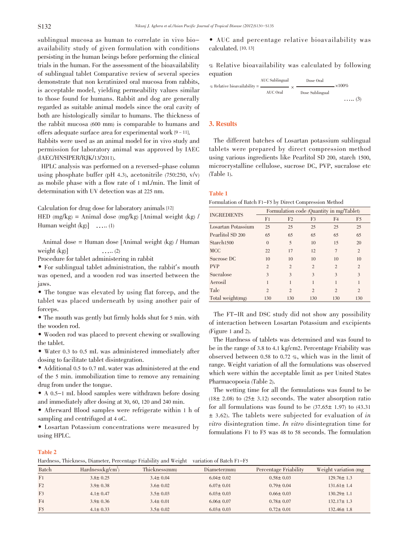sublingual mucosa as human to correlate in vivo bioavailability study of given formulation with conditions persisting in the human beings before performing the clinical trials in the human. For the assessment of the bioavailability of sublingual tablet Comparative review of several species demonstrate that non keratinized oral mucosa from rabbits, is acceptable model, yielding permeability values similar to those found for humans. Rabbit and dog are generally regarded as suitable animal models since the oral cavity of both are histologically similar to humans. The thickness of the rabbit mucosa (600 mm) is comparable to humans and offers adequate surface area for experimental work [9 - 11]. Rabbits were used as an animal model for in vivo study and permission for laboratory animal was approved by IAEC (IAEC/HNSIPER/RJK/13/2011).

HPLC analysis was performed on a reversed-phase column using phosphate buffer (pH 4.3), acetonitrile  $(750:250, v/v)$ as mobile phase with a flow rate of 1 mL/min. The limit of determination with UV detection was at 225 nm.

Calculation for drug dose for laboratory animals [12] HED (mg/kg) = Animal dose (mg/kg) [Animal weight (kg)  $\ell$ Human weight  $(kg)$  …... (1)

Animal dose = Human dose [Animal weight (kg) / Human weight  $(kg)$  ….. (2)

Procedure for tablet administering in rabbit

• For sublingual tablet administration, the rabbit's mouth was opened, and a wooden rod was inserted between the jaws.

• The tongue was elevated by using flat forcep, and the tablet was placed underneath by using another pair of forceps.

• The mouth was gently but firmly holds shut for <sup>5</sup> min. with the wooden rod.

• Wooden rod was placed to prevent chewing or swallowing the tablet.

• Water 0.3 to 0.5 mL was administered immediately after dosing to facilitate tablet disintegration.

• Additional 0.5 to 0.7 mL water was administered at the end of the 5 min. immobilization time to remove any remaining drug from under the tongue.

• A 0.5-1 mL blood samples were withdrawn before dosing and immediately after dosing at 30, 60, 120 and 240 min.

• Afterward Blood samples were refrigerate within <sup>1</sup> h of sampling and centrifuged at 4 oC.

• Losartan Potassium concentrations were measured by using HPLC.

• AUC and percentage relative bioavailability was calculated. [10, 13]

% Relative bioavailability was calculated by following equation



# 3. Results

The different batches of Losartan potassium sublingual tablets were prepared by direct compression method using various ingredients like Pearlitol SD 200, starch 1500, microcrystalline cellulose, sucrose DC, PVP, sucralose etc (Table 1).

# Table 1

Formulation of Batch F1-F5 by Direct Compression Method

| <b>INGREDIENTS</b>     | Formulation code (Quantity in mg/Tablet) |                |                |                |                |  |
|------------------------|------------------------------------------|----------------|----------------|----------------|----------------|--|
|                        | F1                                       | F <sub>2</sub> | F <sub>3</sub> | F <sub>4</sub> | F <sub>5</sub> |  |
| Losartan Potassium     | 25                                       | 25             | 25             | 25             | 25             |  |
| Pearlitol SD 200       | 65                                       | 65             | 65             | 65             | 65             |  |
| Starch <sub>1500</sub> | $\Omega$                                 | 5              | 10             | 15             | 20             |  |
| <b>MCC</b>             | 22                                       | 17             | 12             | $\overline{7}$ | $\overline{2}$ |  |
| Sucrose DC             | 10                                       | 10             | 10             | 10             | 10             |  |
| <b>PVP</b>             | $\overline{c}$                           | $\overline{c}$ | $\overline{2}$ | $\overline{c}$ | $\overline{c}$ |  |
| Sucralose              | 3                                        | 3              | 3              | 3              | 3              |  |
| Aerosil                | 1                                        | 1              | 1              |                | 1              |  |
| Talc                   | $\mathfrak{D}$                           | $\overline{2}$ | $\overline{2}$ | $\mathfrak{D}$ | $\overline{c}$ |  |
| Total weight(mg)       | 130                                      | 130            | 130            | 130            | 130            |  |

The FT-IR and DSC study did not show any possibility of interaction between Losartan Potassium and excipients (Figure 1 and 2).

The Hardness of tablets was determined and was found to be in the range of 3.8 to 4.1 kg/cm2. Percentage Friability was observed between 0.58 to 0.72 %, which was in the limit of range. Weight variation of all the formulations was observed which were within the acceptable limit as per United States Pharmacopoeia (Table 2).

The wetting time for all the formulations was found to be  $(18± 2.08)$  to  $(25± 3.12)$  seconds. The water absorption ratio for all formulations was found to be  $(37.65 \pm 1.97)$  to  $(43.31)$  $\pm$  3.62). The tablets were subjected for evaluation of in vitro disintegration time. In vitro disintegration time for formulations F1 to F5 was 48 to 58 seconds. The formulation

#### Table 2

Hardness, Thickness, Diameter, Percentage Friability and Weight variation of Batch F1-F5

| Batch          | Hardness $\frac{kg/cm^2}{m}$ | Thickness(mm)  | Diameter(mm)    | Percentage Friability | Weight variation (mg) |
|----------------|------------------------------|----------------|-----------------|-----------------------|-----------------------|
| F <sub>1</sub> | $3.8 \pm 0.25$               | $3.4 \pm 0.04$ | $6.04 \pm 0.02$ | $0.58 \pm 0.03$       | $129.76 \pm 1.3$      |
| F <sub>2</sub> | $3.9 \pm 0.38$               | $3.6 \pm 0.02$ | $6.07 \pm 0.01$ | $0.79 \pm 0.04$       | $131.61 \pm 1.4$      |
| F <sub>3</sub> | $4.1 \pm 0.47$               | $3.5 \pm 0.03$ | $6.03 \pm 0.03$ | $0.66 \pm 0.03$       | $130.29 \pm 1.1$      |
| F <sub>4</sub> | $3.9 \pm 0.36$               | $3.4 \pm 0.01$ | $6.06 \pm 0.07$ | $0.78 \pm 0.07$       | $132.17 \pm 1.3$      |
| F <sub>5</sub> | $4.1 \pm 0.33$               | $3.5 \pm 0.02$ | $6.03 \pm 0.03$ | $0.72 \pm 0.01$       | $132.46 \pm 1.8$      |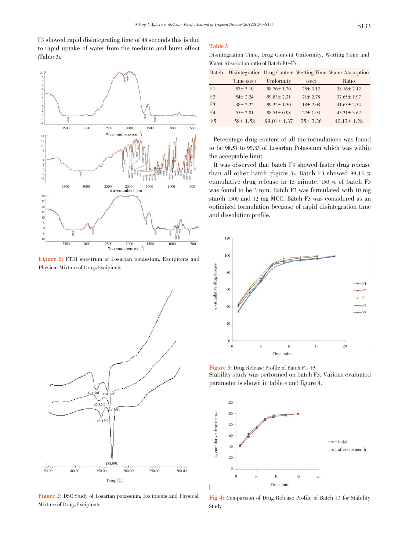F3 showed rapid disintegrating time of 48 seconds this is due to rapid uptake of water from the medium and burst effect  $(Table 3).$ 



Figure 1: FTIR spectrum of Losartan potassium, Excipients and Physical Mixture of Drug+Excipients



Figure 2: DSC Study of Losartan potassium, Excipients and Physical Mixture of Drug+Excipients

#### **Table 3**

Disintegration Time, Drug Content Uniformity, Wetting Time and Water Absorption ratio of Batch F1-F5

| Batch          |               |                  |               | Disintegration Drug Content Wetting Time Water Absorption |
|----------------|---------------|------------------|---------------|-----------------------------------------------------------|
|                | Time (sec)    | Uniformity       | (sec)         | Ratio                                                     |
| F <sub>1</sub> | $57 \pm 3.10$ | $98.76 \pm 1.20$ | $25 \pm 3.12$ | $38.16 \pm 2.12$                                          |
| F <sub>2</sub> | $54 \pm 2.24$ | $99.83 \pm 2.21$ | $21 \pm 2.78$ | $37.65 \pm 1.97$                                          |
| F <sub>3</sub> | $48 \pm 2.22$ | $99.32 \pm 1.30$ | $18 \pm 2.08$ | $41.63 \pm 2.34$                                          |
| F <sub>4</sub> | $55 \pm 2.01$ | $98.51 \pm 0.98$ | $22 \pm 1.93$ | $43.31 \pm 3.62$                                          |
| F <sub>5</sub> | $58 \pm 1.58$ | $99.01 \pm 1.37$ | $25 \pm 2.26$ | $40.12 \pm 1.28$                                          |

Percentage drug content of all the formulations was found to be 98.51 to 99.83 of Losartan Potassium which was within the acceptable limit.

It was observed that batch F3 showed faster drug release than all other batch (figure 3). Batch F3 showed 99.13  $%$ cumulative drug release in 15 minute. t50 % of batch F3 was found to be 3 min. Batch F3 was formulated with 10 mg starch 1500 and 12 mg MCC. Batch F3 was considered as an optimized formulation because of rapid disintegration time and dissolution profile.



Figure 3: Drug Release Profile of Batch F1-F5 Stability study was performed on batch F3. Various evaluated parameter is shown in table 4 and figure 4.



Fig 4: Comparison of Drug Release Profile of Batch F3 for Stability Study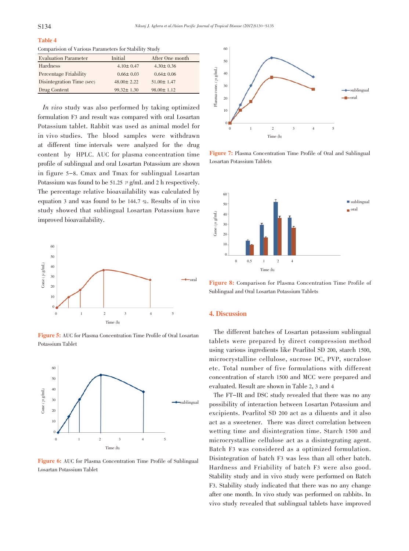# Table 4

Comparision of Various Parameters for Stability Study

| <b>Evaluation Parameter</b> | Initial          | After One month  |
|-----------------------------|------------------|------------------|
| Hardness                    | $4.10 \pm 0.47$  | $4.30 \pm 0.36$  |
| Percentage Friability       | $0.66 \pm 0.03$  | $0.64 \pm 0.06$  |
| Disintegration Time (sec)   | $48.00 \pm 2.22$ | $51.00 \pm 1.47$ |
| Drug Content                | $99.32 \pm 1.30$ | $98.00 \pm 1.12$ |

In vivo study was also performed by taking optimized formulation F3 and result was compared with oral Losartan Potassium tablet. Rabbit was used as animal model for in vivo studies. The blood samples were withdrawn at different time intervals were analyzed for the drug content by HPLC. AUC for plasma concentration time profile of sublingual and oral Losartan Potassium are shown in figure 5-8. Cmax and Tmax for sublingual Losartan Potassium was found to be 51.25  $\mu$  g/mL and 2 h respectively. The percentage relative bioavailability was calculated by equation 3 and was found to be 144.7 %. Results of in vivo study showed that sublingual Losartan Potassium have improved bioavailability.



Figure 5: AUC for Plasma Concentration Time Profile of Oral Losartan Potassium Tablet



Figure 6: AUC for Plasma Concentration Time Profile of Sublingual Losartan Potassium Tablet



Figure 7: Plasma Concentration Time Profile of Oral and Sublingual Losartan Potassium Tablets



Figure 8: Comparison for Plasma Concentration Time Profile of Sublingual and Oral Losartan Potassium Tablets

#### 4. Discussion

The different batches of Losartan potassium sublingual tablets were prepared by direct compression method using various ingredients like Pearlitol SD 200, starch 1500, microcrystalline cellulose, sucrose DC, PVP, sucralose etc. Total number of five formulations with different concentration of starch 1500 and MCC were prepared and evaluated. Result are shown in Table 2, 3 and 4

The FT-IR and DSC study revealed that there was no any possibility of interaction between Losartan Potassium and excipients. Pearlitol SD 200 act as a diluents and it also act as a sweetener. There was direct correlation between wetting time and disintegration time. Starch 1500 and microcrystalline cellulose act as a disintegrating agent. Batch F3 was considered as a optimized formulation. Disintegration of batch F3 was less than all other batch. Hardness and Friability of batch F3 were also good. Stability study and in vivo study were performed on Batch F3. Stability study indicated that there was no any change after one month. In vivo study was performed on rabbits. In vivo study revealed that sublingual tablets have improved